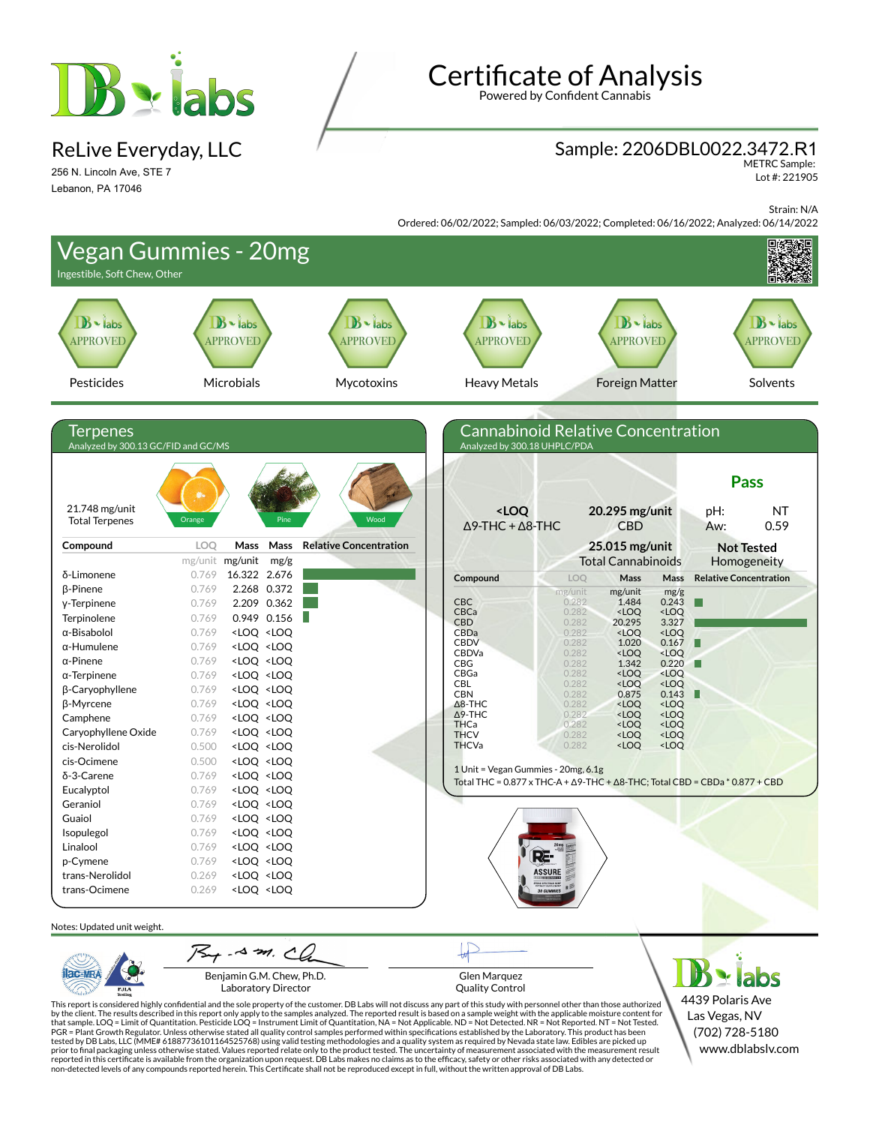

ReLive Everyday, LLC

256 N. Lincoln Ave, STE 7 Lebanon, PA 17046

Testing

# **Certificate of Analysis**

Powered by Confident Cannabis

### Sample: 2206DBL0022.3472.R1

METRC Sample: Lot #: 221905

Strain: N/A

Ordered: 06/02/2022; Sampled: 06/03/2022; Completed: 06/16/2022; Analyzed: 06/14/2022

| Ingestible, Soft Chew, Other                    | <b>Vegan Gummies - 20mg</b>                                                                                                                                                                                                                         |                                   |                                                                      |                                                                                                               |                                               |                                   |
|-------------------------------------------------|-----------------------------------------------------------------------------------------------------------------------------------------------------------------------------------------------------------------------------------------------------|-----------------------------------|----------------------------------------------------------------------|---------------------------------------------------------------------------------------------------------------|-----------------------------------------------|-----------------------------------|
| $B \cdot$ labs<br><b>APPROVED</b>               | $B -$ labs<br><b>APPROVED</b>                                                                                                                                                                                                                       | $B \cdot$ labs<br><b>APPROVED</b> | $B \cdot$ labs<br><b>APPROVED</b>                                    | $\mathbf{B}$ - labs<br><b>APPROVED</b>                                                                        |                                               | $B \cdot$ labs<br><b>APPROVED</b> |
| Pesticides                                      | Microbials                                                                                                                                                                                                                                          | Mycotoxins                        | <b>Heavy Metals</b>                                                  | <b>Foreign Matter</b>                                                                                         |                                               | Solvents                          |
|                                                 |                                                                                                                                                                                                                                                     |                                   |                                                                      |                                                                                                               |                                               |                                   |
| Terpenes<br>Analyzed by 300.13 GC/FID and GC/MS |                                                                                                                                                                                                                                                     |                                   | Analyzed by 300.18 UHPLC/PDA                                         | <b>Cannabinoid Relative Concentration</b>                                                                     |                                               |                                   |
|                                                 | 夢.                                                                                                                                                                                                                                                  |                                   |                                                                      |                                                                                                               |                                               | <b>Pass</b>                       |
| 21.748 mg/unit<br><b>Total Terpenes</b>         | Orange                                                                                                                                                                                                                                              | Wood                              | <loq<br><math>\Delta</math>9-THC + <math>\Delta</math>8-THC</loq<br> | 20.295 mg/unit<br><b>CBD</b>                                                                                  | pH:<br>Aw:                                    | <b>NT</b><br>0.59                 |
| Compound                                        | LOQ<br>Mass<br>Mass                                                                                                                                                                                                                                 | <b>Relative Concentration</b>     |                                                                      | 25.015 mg/unit                                                                                                |                                               | <b>Not Tested</b>                 |
|                                                 | mg/unit mg/unit<br>mg/g                                                                                                                                                                                                                             |                                   |                                                                      | <b>Total Cannabinoids</b>                                                                                     |                                               | Homogeneity                       |
| δ-Limonene                                      | 16.322 2.676<br>0.769                                                                                                                                                                                                                               |                                   | Compound                                                             | Mass<br>LOQ                                                                                                   | <b>Relative Concentration</b><br>Mass         |                                   |
| β-Pinene                                        | 2.268 0.372<br>0.769                                                                                                                                                                                                                                |                                   |                                                                      | mg/unit<br>mg/unit                                                                                            | mg/g                                          |                                   |
| y-Terpinene                                     | 2.209 0.362<br>0.769                                                                                                                                                                                                                                |                                   | <b>CBC</b><br>CBCa                                                   | 0.282<br>1.484<br><loq<br>0.282</loq<br>                                                                      | 0.243<br>H<br><loq< td=""><td></td></loq<>    |                                   |
| Terpinolene                                     | $0.949$ 0.156<br>0.769                                                                                                                                                                                                                              |                                   | <b>CBD</b>                                                           | 0.282<br>20.295                                                                                               | 3.327                                         |                                   |
| α-Bisabolol                                     | <loq <loq<br="">0.769</loq>                                                                                                                                                                                                                         |                                   | CBDa<br><b>CBDV</b>                                                  | 0.282<br><loq<br>0.282<br/>1.020</loq<br>                                                                     | <loq<br>0.167</loq<br>                        |                                   |
| $\alpha$ -Humulene                              | <loq <loq<br="">0.769</loq>                                                                                                                                                                                                                         |                                   | CBDVa                                                                | 0.282<br><loq< td=""><td><loq< td=""><td></td></loq<></td></loq<>                                             | <loq< td=""><td></td></loq<>                  |                                   |
| $\alpha$ -Pinene                                | 0.769<br><loq <loq<="" td=""><td></td><td><b>CBG</b></td><td>0.282<br/>1.342</td><td>0.220</td><td></td></loq>                                                                                                                                      |                                   | <b>CBG</b>                                                           | 0.282<br>1.342                                                                                                | 0.220                                         |                                   |
| $\alpha$ -Terpinene                             | 0.769<br><loq <loq<="" td=""><td></td><td>CBGa<br/>CBL</td><td>0.282<br/><loq<br>0.282<br/><loq< td=""><td><loq<br><loq< td=""><td></td></loq<></loq<br></td></loq<></loq<br></td></loq>                                                            |                                   | CBGa<br>CBL                                                          | 0.282<br><loq<br>0.282<br/><loq< td=""><td><loq<br><loq< td=""><td></td></loq<></loq<br></td></loq<></loq<br> | <loq<br><loq< td=""><td></td></loq<></loq<br> |                                   |
| β-Caryophyllene                                 | 0.769<br><loq <loq<="" td=""><td></td><td><b>CBN</b></td><td>0.282<br/>0.875</td><td>0.143<br/>Ш</td><td></td></loq>                                                                                                                                |                                   | <b>CBN</b>                                                           | 0.282<br>0.875                                                                                                | 0.143<br>Ш                                    |                                   |
| β-Myrcene                                       | 0.769<br><loq <loq<="" td=""><td></td><td><math>\Delta</math>8-THC<br/><math>\Delta</math>9-THC</td><td>0.282<br/><loq<br><loq<br>0.282</loq<br></loq<br></td><td><loq<br><loq< td=""><td></td></loq<></loq<br></td></loq>                          |                                   | $\Delta$ 8-THC<br>$\Delta$ 9-THC                                     | 0.282<br><loq<br><loq<br>0.282</loq<br></loq<br>                                                              | <loq<br><loq< td=""><td></td></loq<></loq<br> |                                   |
| Camphene                                        | 0.769<br><loq <loq<="" td=""><td></td><td>THCa</td><td>0.282<br/><loq< td=""><td><loq< td=""><td></td></loq<></td></loq<></td></loq>                                                                                                                |                                   | THCa                                                                 | 0.282<br><loq< td=""><td><loq< td=""><td></td></loq<></td></loq<>                                             | <loq< td=""><td></td></loq<>                  |                                   |
| Caryophyllene Oxide                             | 0.769<br><loq <loq<="" td=""><td></td><td><b>THCV</b><br/><b>THCVa</b></td><td>0.282<br/><loq<br>0.282<br/><loq< td=""><td><loq<br><loq< td=""><td></td></loq<></loq<br></td></loq<></loq<br></td></loq>                                            |                                   | <b>THCV</b><br><b>THCVa</b>                                          | 0.282<br><loq<br>0.282<br/><loq< td=""><td><loq<br><loq< td=""><td></td></loq<></loq<br></td></loq<></loq<br> | <loq<br><loq< td=""><td></td></loq<></loq<br> |                                   |
| cis-Nerolidol                                   | 0.500<br><loq <loq<="" td=""><td></td><td></td><td></td><td></td><td></td></loq>                                                                                                                                                                    |                                   |                                                                      |                                                                                                               |                                               |                                   |
| cis-Ocimene                                     | 0.500<br><loq <loq<="" td=""><td></td><td>1 Unit = Vegan Gummies - 20mg, 6.1g</td><td></td><td></td><td></td></loq>                                                                                                                                 |                                   | 1 Unit = Vegan Gummies - 20mg, 6.1g                                  |                                                                                                               |                                               |                                   |
| δ-3-Carene<br>Eucalyptol                        | 0.769<br><loq <loq<br="">0.769<br/><loq <loq<="" td=""><td></td><td></td><td>Total THC = <math>0.877 \times THC-A + \Delta 9</math>-THC + <math>\Delta 8</math>-THC; Total CBD = CBDa * <math>0.877 + CBD</math></td><td></td><td></td></loq></loq> |                                   |                                                                      | Total THC = $0.877 \times THC-A + \Delta 9$ -THC + $\Delta 8$ -THC; Total CBD = CBDa * $0.877 + CBD$          |                                               |                                   |
| Geraniol                                        | 0.769<br><loq <loq<="" td=""><td></td><td></td><td></td><td></td><td></td></loq>                                                                                                                                                                    |                                   |                                                                      |                                                                                                               |                                               |                                   |
| Guaiol                                          | 0.769<br><loq <loq<="" td=""><td></td><td></td><td></td><td></td><td></td></loq>                                                                                                                                                                    |                                   |                                                                      |                                                                                                               |                                               |                                   |
| Isopulegol                                      | 0.769<br><loq <loq<="" td=""><td></td><td></td><td></td><td></td><td></td></loq>                                                                                                                                                                    |                                   |                                                                      |                                                                                                               |                                               |                                   |
| Linalool                                        | 0.769<br><loq <loq<="" td=""><td></td><td></td><td></td><td></td><td></td></loq>                                                                                                                                                                    |                                   |                                                                      |                                                                                                               |                                               |                                   |
| p-Cymene                                        | 0.769<br><loq <loq<="" td=""><td></td><td>₽≢</td><td></td><td></td><td></td></loq>                                                                                                                                                                  |                                   | ₽≢                                                                   |                                                                                                               |                                               |                                   |
| trans-Nerolidol                                 | <loq <loq<br="">0.269</loq>                                                                                                                                                                                                                         |                                   |                                                                      | <b>ASSURE</b>                                                                                                 |                                               |                                   |
| trans-Ocimene                                   | 0.269<br><loq <loq<="" td=""><td></td><td></td><td><b>FREND SPEETERN REMP</b><br/>FRIMALLY SUPPLEMENT<br/>30 GUMMIES</td><td></td><td></td></loq>                                                                                                   |                                   |                                                                      | <b>FREND SPEETERN REMP</b><br>FRIMALLY SUPPLEMENT<br>30 GUMMIES                                               |                                               |                                   |
| Notes: Updated unit weight.                     |                                                                                                                                                                                                                                                     |                                   |                                                                      |                                                                                                               |                                               |                                   |
|                                                 | $75 + 4 - 3$                                                                                                                                                                                                                                        |                                   |                                                                      |                                                                                                               |                                               |                                   |
|                                                 | Benjamin G.M. Chew, Ph.D.<br><b>Laboratory Director</b>                                                                                                                                                                                             |                                   | Glen Marquez<br><b>Quality Control</b>                               |                                                                                                               |                                               | labs                              |

This report is considered highly confidential and the sole property of the customer. DB Labs will not discuss any part of this study with personnel other than those authorized<br>by the client. The results described in this r